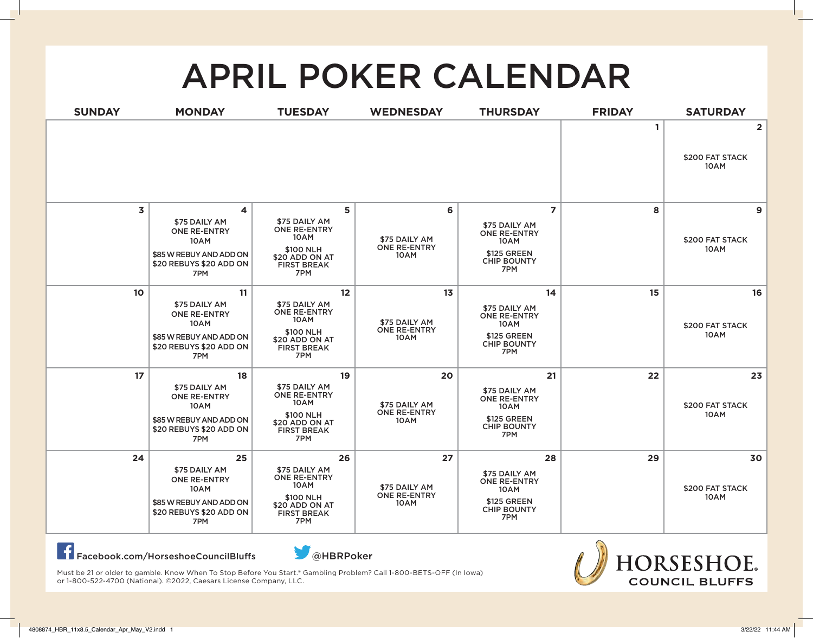## APRIL POKER CALENDAR

| <b>SUNDAY</b> | <b>MONDAY</b>                                                                                                   | <b>TUESDAY</b>                                                                                                 | <b>WEDNESDAY</b>                                   | <b>THURSDAY</b>                                                                                            | <b>FRIDAY</b> | <b>SATURDAY</b>                           |
|---------------|-----------------------------------------------------------------------------------------------------------------|----------------------------------------------------------------------------------------------------------------|----------------------------------------------------|------------------------------------------------------------------------------------------------------------|---------------|-------------------------------------------|
|               |                                                                                                                 |                                                                                                                |                                                    |                                                                                                            | 1             | $\overline{2}$<br>\$200 FAT STACK<br>10AM |
| 3             | 4<br>\$75 DAILY AM<br><b>ONE RE-ENTRY</b><br>10AM<br>\$85 W REBUY AND ADD ON<br>\$20 REBUYS \$20 ADD ON<br>7PM  | 5<br>\$75 DAILY AM<br><b>ONE RE-ENTRY</b><br>10AM<br>\$100 NLH<br>\$20 ADD ON AT<br><b>FIRST BREAK</b><br>7PM  | 6<br>\$75 DAILY AM<br><b>ONE RE-ENTRY</b><br>10AM  | $\overline{z}$<br>\$75 DAILY AM<br>ONE RE-ENTRY<br>10AM<br><b>\$125 GREEN</b><br><b>CHIP BOUNTY</b><br>7PM | 8             | 9<br>\$200 FAT STACK<br>10AM              |
| 10            | 11<br>\$75 DAILY AM<br><b>ONE RE-ENTRY</b><br>10AM<br>\$85 W REBUY AND ADD ON<br>\$20 REBUYS \$20 ADD ON<br>7PM | 12<br>\$75 DAILY AM<br>ONE RE-ENTRY<br>10AM<br>\$100 NLH<br>\$20 ADD ON AT<br><b>FIRST BREAK</b><br>7PM        | 13<br>\$75 DAILY AM<br>ONE RE-ENTRY<br>10AM        | 14<br>\$75 DAILY AM<br><b>ONE RE-ENTRY</b><br>10AM<br><b>\$125 GREEN</b><br><b>CHIP BOUNTY</b><br>7PM      | 15            | 16<br>\$200 FAT STACK<br>10AM             |
| 17            | 18<br>\$75 DAILY AM<br><b>ONE RE-ENTRY</b><br>10AM<br>\$85 W REBUY AND ADD ON<br>\$20 REBUYS \$20 ADD ON<br>7PM | 19<br>\$75 DAILY AM<br><b>ONE RE-ENTRY</b><br>10AM<br>\$100 NLH<br>\$20 ADD ON AT<br><b>FIRST BREAK</b><br>7PM | 20<br>\$75 DAILY AM<br>ONE RE-ENTRY<br>10AM        | 21<br>\$75 DAILY AM<br><b>ONE RE-ENTRY</b><br>10AM<br>\$125 GREEN<br><b>CHIP BOUNTY</b><br>7PM             | 22            | 23<br>\$200 FAT STACK<br>10AM             |
| 24            | 25<br>\$75 DAILY AM<br><b>ONE RE-ENTRY</b><br>10AM<br>\$85 W REBUY AND ADD ON<br>\$20 REBUYS \$20 ADD ON<br>7PM | 26<br>\$75 DAILY AM<br><b>ONE RE-ENTRY</b><br>10AM<br>\$100 NLH<br>\$20 ADD ON AT<br><b>FIRST BREAK</b><br>7PM | 27<br>\$75 DAILY AM<br><b>ONE RE-ENTRY</b><br>10AM | 28<br>\$75 DAILY AM<br><b>ONE RE-ENTRY</b><br>10AM<br>\$125 GREEN<br><b>CHIP BOUNTY</b><br>7PM             | 29            | 30<br>\$200 FAT STACK<br>10AM             |

Facebook.com/HorseshoeCouncilBluffs@HBRPoker



Must be 21 or older to gamble. Know When To Stop Before You Start.® Gambling Problem? Call 1-800-BETS-OFF (In Iowa) or 1-800-522-4700 (National). ©2022, Caesars License Company, LLC.